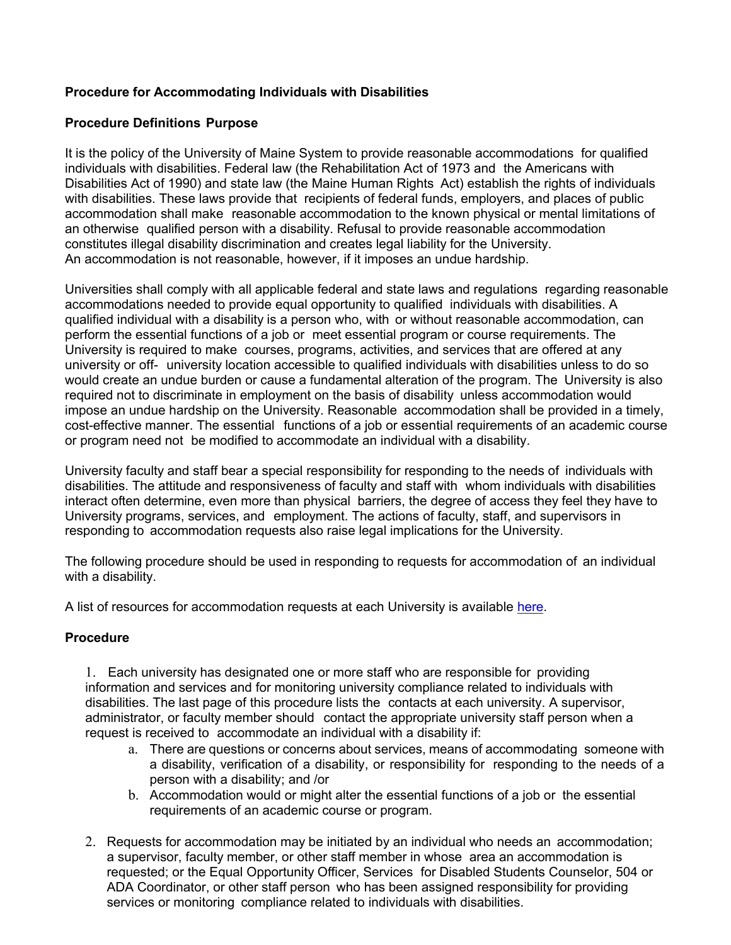# **Procedure for Accommodating Individuals with Disabilities**

## **Procedure Definitions Purpose**

It is the policy of the University of Maine System to provide reasonable accommodations for qualified individuals with disabilities. Federal law (the Rehabilitation Act of 1973 and the Americans with Disabilities Act of 1990) and state law (the Maine Human Rights Act) establish the rights of individuals with disabilities. These laws provide that recipients of federal funds, employers, and places of public accommodation shall make reasonable accommodation to the known physical or mental limitations of an otherwise qualified person with a disability. Refusal to provide reasonable accommodation constitutes illegal disability discrimination and creates legal liability for the University. An accommodation is not reasonable, however, if it imposes an undue hardship.

Universities shall comply with all applicable federal and state laws and regulations regarding reasonable accommodations needed to provide equal opportunity to qualified individuals with disabilities. A qualified individual with a disability is a person who, with or without reasonable accommodation, can perform the essential functions of a job or meet essential program or course requirements. The University is required to make courses, programs, activities, and services that are offered at any university or off- university location accessible to qualified individuals with disabilities unless to do so would create an undue burden or cause a fundamental alteration of the program. The University is also required not to discriminate in employment on the basis of disability unless accommodation would impose an undue hardship on the University. Reasonable accommodation shall be provided in a timely, cost-effective manner. The essential functions of a job or essential requirements of an academic course or program need not be modified to accommodate an individual with a disability.

University faculty and staff bear a special responsibility for responding to the needs of individuals with disabilities. The attitude and responsiveness of faculty and staff with whom individuals with disabilities interact often determine, even more than physical barriers, the degree of access they feel they have to University programs, services, and employment. The actions of faculty, staff, and supervisors in responding to accommodation requests also raise legal implications for the University.

The following procedure should be used in responding to requests for accommodation of an individual with a disability.

A list of resources for accommodation requests at each University is available [here.](https://umaine.edu/eo/resource/accommodation-contacts)

#### **Procedure**

1. Each university has designated one or more staff who are responsible for providing information and services and for monitoring university compliance related to individuals with disabilities. The last page of this procedure lists the contacts at each university. A supervisor, administrator, or faculty member should contact the appropriate university staff person when a request is received to accommodate an individual with a disability if:

- a. There are questions or concerns about services, means of accommodating someone with a disability, verification of a disability, or responsibility for responding to the needs of a person with a disability; and /or
- b. Accommodation would or might alter the essential functions of a job or the essential requirements of an academic course or program.
- 2. Requests for accommodation may be initiated by an individual who needs an accommodation; a supervisor, faculty member, or other staff member in whose area an accommodation is requested; or the Equal Opportunity Officer, Services for Disabled Students Counselor, 504 or ADA Coordinator, or other staff person who has been assigned responsibility for providing services or monitoring compliance related to individuals with disabilities.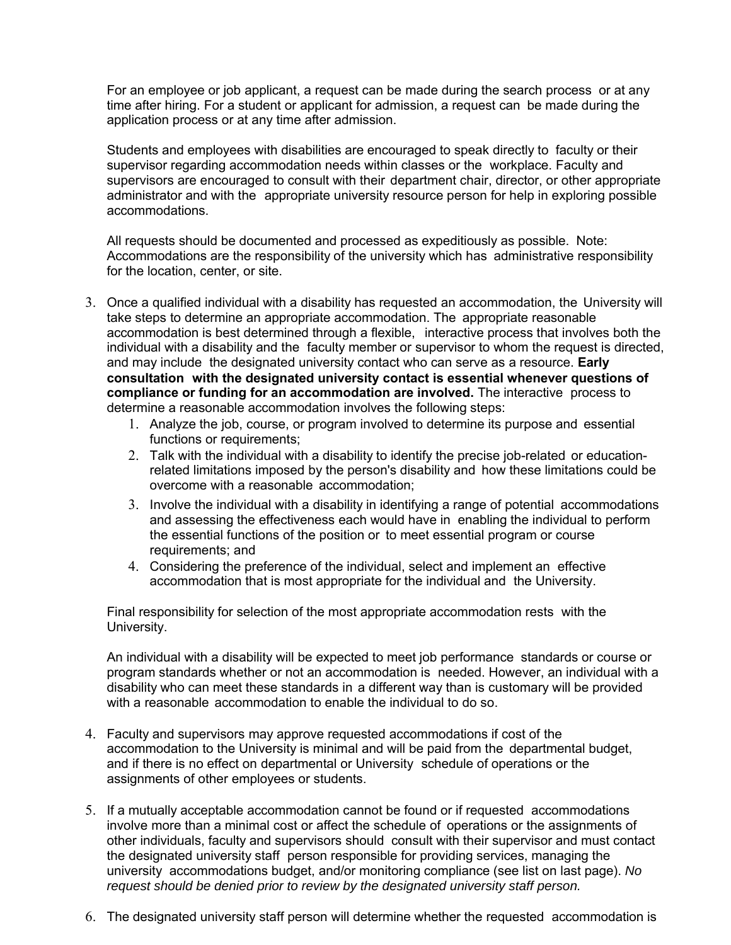For an employee or job applicant, a request can be made during the search process or at any time after hiring. For a student or applicant for admission, a request can be made during the application process or at any time after admission.

Students and employees with disabilities are encouraged to speak directly to faculty or their supervisor regarding accommodation needs within classes or the workplace. Faculty and supervisors are encouraged to consult with their department chair, director, or other appropriate administrator and with the appropriate university resource person for help in exploring possible accommodations.

All requests should be documented and processed as expeditiously as possible. Note: Accommodations are the responsibility of the university which has administrative responsibility for the location, center, or site.

- 3. Once a qualified individual with a disability has requested an accommodation, the University will take steps to determine an appropriate accommodation. The appropriate reasonable accommodation is best determined through a flexible, interactive process that involves both the individual with a disability and the faculty member or supervisor to whom the request is directed, and may include the designated university contact who can serve as a resource. **Early consultation with the designated university contact is essential whenever questions of compliance or funding for an accommodation are involved.** The interactive process to determine a reasonable accommodation involves the following steps:
	- 1. Analyze the job, course, or program involved to determine its purpose and essential functions or requirements;
	- 2. Talk with the individual with a disability to identify the precise job-related or educationrelated limitations imposed by the person's disability and how these limitations could be overcome with a reasonable accommodation;
	- 3. Involve the individual with a disability in identifying a range of potential accommodations and assessing the effectiveness each would have in enabling the individual to perform the essential functions of the position or to meet essential program or course requirements; and
	- 4. Considering the preference of the individual, select and implement an effective accommodation that is most appropriate for the individual and the University.

Final responsibility for selection of the most appropriate accommodation rests with the University.

An individual with a disability will be expected to meet job performance standards or course or program standards whether or not an accommodation is needed. However, an individual with a disability who can meet these standards in a different way than is customary will be provided with a reasonable accommodation to enable the individual to do so.

- 4. Faculty and supervisors may approve requested accommodations if cost of the accommodation to the University is minimal and will be paid from the departmental budget, and if there is no effect on departmental or University schedule of operations or the assignments of other employees or students.
- 5. If a mutually acceptable accommodation cannot be found or if requested accommodations involve more than a minimal cost or affect the schedule of operations or the assignments of other individuals, faculty and supervisors should consult with their supervisor and must contact the designated university staff person responsible for providing services, managing the university accommodations budget, and/or monitoring compliance (see list on last page). *No request should be denied prior to review by the designated university staff person.*
- 6. The designated university staff person will determine whether the requested accommodation is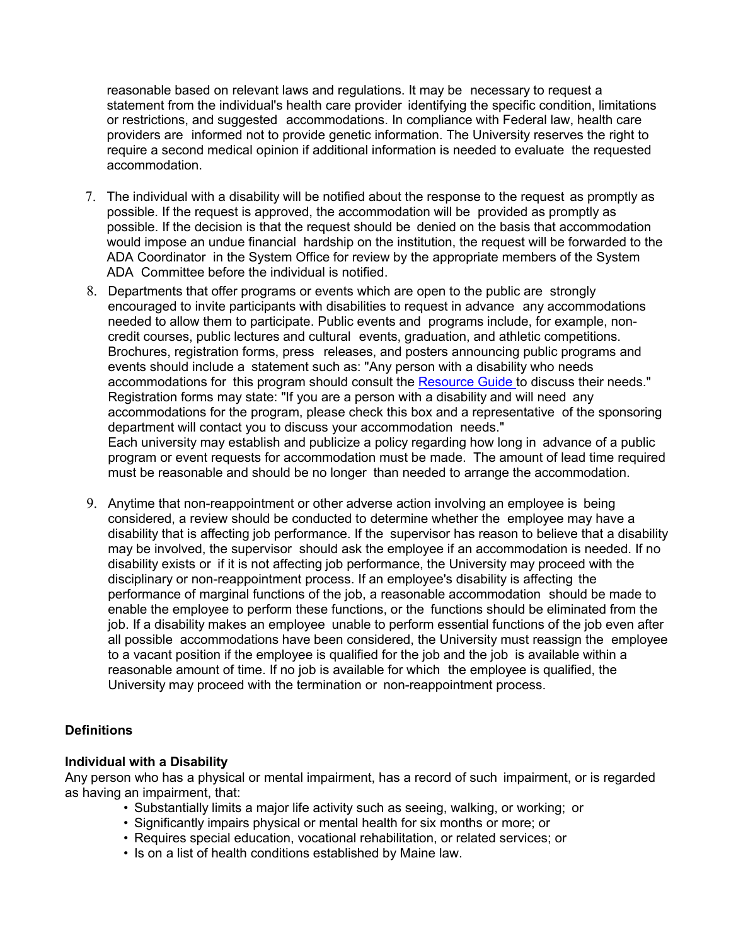reasonable based on relevant laws and regulations. It may be necessary to request a statement from the individual's health care provider identifying the specific condition, limitations or restrictions, and suggested accommodations. In compliance with Federal law, health care providers are informed not to provide genetic information. The University reserves the right to require a second medical opinion if additional information is needed to evaluate the requested accommodation.

- 7. The individual with a disability will be notified about the response to the request as promptly as possible. If the request is approved, the accommodation will be provided as promptly as possible. If the decision is that the request should be denied on the basis that accommodation would impose an undue financial hardship on the institution, the request will be forwarded to the ADA Coordinator in the System Office for review by the appropriate members of the System ADA Committee before the individual is notified.
- 8. Departments that offer programs or events which are open to the public are strongly encouraged to invite participants with disabilities to request in advance any accommodations needed to allow them to participate. Public events and programs include, for example, noncredit courses, public lectures and cultural events, graduation, and athletic competitions. Brochures, registration forms, press releases, and posters announcing public programs and events should include a statement such as: "Any person with a disability who needs accommodations for this program should consult the [Resource Guide t](https://umaine.edu/eo/resource/accommodation-contacts)o discuss their needs." Registration forms may state: "If you are a person with a disability and will need any accommodations for the program, please check this box and a representative of the sponsoring department will contact you to discuss your accommodation needs." Each university may establish and publicize a policy regarding how long in advance of a public program or event requests for accommodation must be made. The amount of lead time required must be reasonable and should be no longer than needed to arrange the accommodation.
- 9. Anytime that non-reappointment or other adverse action involving an employee is being considered, a review should be conducted to determine whether the employee may have a disability that is affecting job performance. If the supervisor has reason to believe that a disability may be involved, the supervisor should ask the employee if an accommodation is needed. If no disability exists or if it is not affecting job performance, the University may proceed with the disciplinary or non-reappointment process. If an employee's disability is affecting the performance of marginal functions of the job, a reasonable accommodation should be made to enable the employee to perform these functions, or the functions should be eliminated from the job. If a disability makes an employee unable to perform essential functions of the job even after all possible accommodations have been considered, the University must reassign the employee to a vacant position if the employee is qualified for the job and the job is available within a reasonable amount of time. If no job is available for which the employee is qualified, the University may proceed with the termination or non-reappointment process.

## **Definitions**

#### **Individual with a Disability**

Any person who has a physical or mental impairment, has a record of such impairment, or is regarded as having an impairment, that:

- Substantially limits a major life activity such as seeing, walking, or working; or
- Significantly impairs physical or mental health for six months or more; or
- Requires special education, vocational rehabilitation, or related services; or
- Is on a list of health conditions established by Maine law.